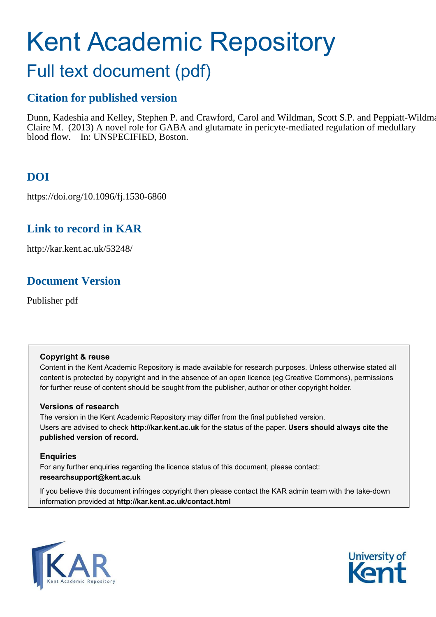# Kent Academic Repository

## Full text document (pdf)

## **Citation for published version**

Dunn, Kadeshia and Kelley, Stephen P. and Crawford, Carol and Wildman, Scott S.P. and Peppiatt-Wildman, Claire M. (2013) A novel role for GABA and glutamate in pericyte-mediated regulation of medullary blood flow. In: UNSPECIFIED, Boston.

## **DOI**

https://doi.org/10.1096/fj.1530-6860

## **Link to record in KAR**

http://kar.kent.ac.uk/53248/

## **Document Version**

Publisher pdf

#### **Copyright & reuse**

Content in the Kent Academic Repository is made available for research purposes. Unless otherwise stated all content is protected by copyright and in the absence of an open licence (eg Creative Commons), permissions for further reuse of content should be sought from the publisher, author or other copyright holder.

#### **Versions of research**

The version in the Kent Academic Repository may differ from the final published version. Users are advised to check **http://kar.kent.ac.uk** for the status of the paper. **Users should always cite the published version of record.**

#### **Enquiries**

For any further enquiries regarding the licence status of this document, please contact: **researchsupport@kent.ac.uk**

If you believe this document infringes copyright then please contact the KAR admin team with the take-down information provided at **http://kar.kent.ac.uk/contact.html**